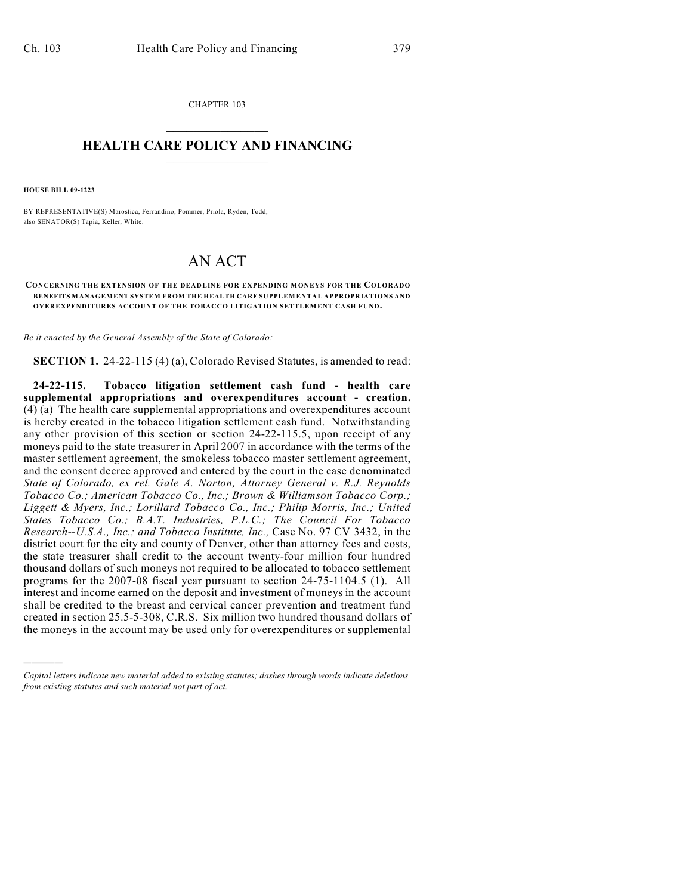CHAPTER 103  $\mathcal{L}_\text{max}$  . The set of the set of the set of the set of the set of the set of the set of the set of the set of the set of the set of the set of the set of the set of the set of the set of the set of the set of the set

## **HEALTH CARE POLICY AND FINANCING**  $\_$   $\_$   $\_$   $\_$   $\_$   $\_$   $\_$   $\_$

**HOUSE BILL 09-1223**

)))))

BY REPRESENTATIVE(S) Marostica, Ferrandino, Pommer, Priola, Ryden, Todd; also SENATOR(S) Tapia, Keller, White.

## AN ACT

## **CONCERNING THE EXTENSION OF THE DEADLINE FOR EXPENDING MONEYS FOR THE COLORADO BENEFITS MANAGEMENT SYSTEM FROM THE HEALTH CARE SUPPLEM ENTAL APPROPRIATIONS AND OVEREXPENDITURES ACCOUNT OF THE TOBACCO LITIGATION SETTLEMENT CASH FUND.**

*Be it enacted by the General Assembly of the State of Colorado:*

**SECTION 1.** 24-22-115 (4) (a), Colorado Revised Statutes, is amended to read:

**24-22-115. Tobacco litigation settlement cash fund - health care supplemental appropriations and overexpenditures account - creation.**  $(4)$  (a) The health care supplemental appropriations and overexpenditures account is hereby created in the tobacco litigation settlement cash fund. Notwithstanding any other provision of this section or section 24-22-115.5, upon receipt of any moneys paid to the state treasurer in April 2007 in accordance with the terms of the master settlement agreement, the smokeless tobacco master settlement agreement, and the consent decree approved and entered by the court in the case denominated *State of Colorado, ex rel. Gale A. Norton, Attorney General v. R.J. Reynolds Tobacco Co.; American Tobacco Co., Inc.; Brown & Williamson Tobacco Corp.; Liggett & Myers, Inc.; Lorillard Tobacco Co., Inc.; Philip Morris, Inc.; United States Tobacco Co.; B.A.T. Industries, P.L.C.; The Council For Tobacco Research--U.S.A., Inc.; and Tobacco Institute, Inc.,* Case No. 97 CV 3432, in the district court for the city and county of Denver, other than attorney fees and costs, the state treasurer shall credit to the account twenty-four million four hundred thousand dollars of such moneys not required to be allocated to tobacco settlement programs for the 2007-08 fiscal year pursuant to section 24-75-1104.5 (1). All interest and income earned on the deposit and investment of moneys in the account shall be credited to the breast and cervical cancer prevention and treatment fund created in section 25.5-5-308, C.R.S. Six million two hundred thousand dollars of the moneys in the account may be used only for overexpenditures or supplemental

*Capital letters indicate new material added to existing statutes; dashes through words indicate deletions from existing statutes and such material not part of act.*